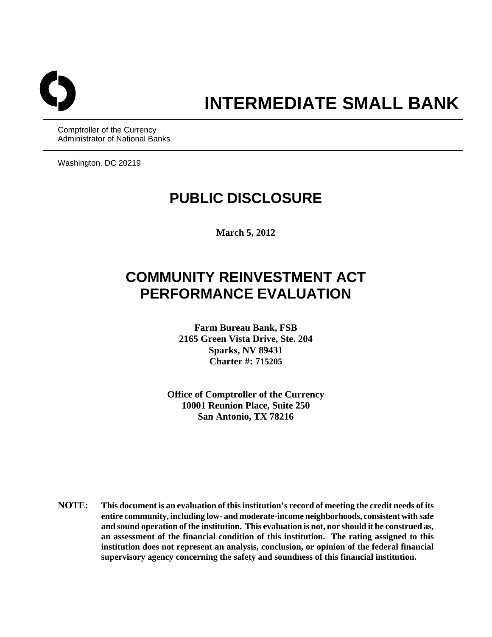

# **INTERMEDIATE SMALL BANK**

Comptroller of the Currency Administrator of National Banks

Washington, DC 20219

## **PUBLIC DISCLOSURE**

**March 5, 2012** 

## **COMMUNITY REINVESTMENT ACT PERFORMANCE EVALUATION**

**Farm Bureau Bank, FSB 2165 Green Vista Drive, Ste. 204 Sparks, NV 89431 Charter #: 715205**

**Office of Comptroller of the Currency 10001 Reunion Place, Suite 250 San Antonio, TX 78216** 

**NOTE: This document is an evaluation of this institution's record of meeting the credit needs of its entire community, including low- and moderate-income neighborhoods, consistent with safe and sound operation of the institution. This evaluation is not, nor should it be construed as, an assessment of the financial condition of this institution. The rating assigned to this institution does not represent an analysis, conclusion, or opinion of the federal financial supervisory agency concerning the safety and soundness of this financial institution.**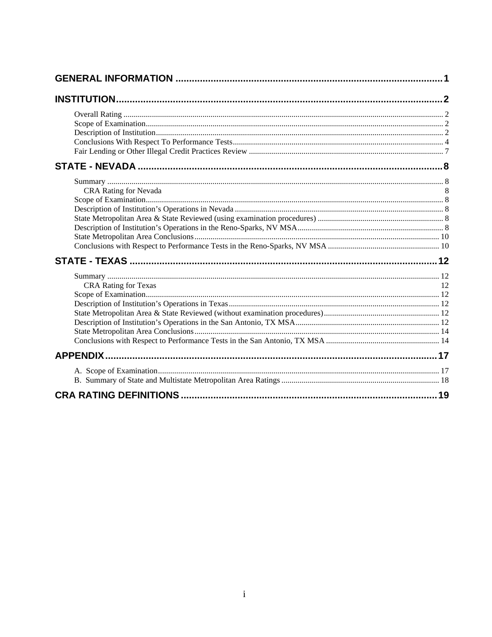| <b>CRA Rating for Nevada</b>   |     |
|--------------------------------|-----|
|                                |     |
|                                |     |
|                                |     |
|                                |     |
|                                |     |
|                                |     |
|                                |     |
|                                |     |
| <b>CRA Rating for Texas</b>    |     |
|                                |     |
|                                |     |
|                                |     |
|                                |     |
|                                |     |
|                                |     |
|                                |     |
|                                |     |
|                                |     |
| <b>CRA RATING DEFINITIONS.</b> | .19 |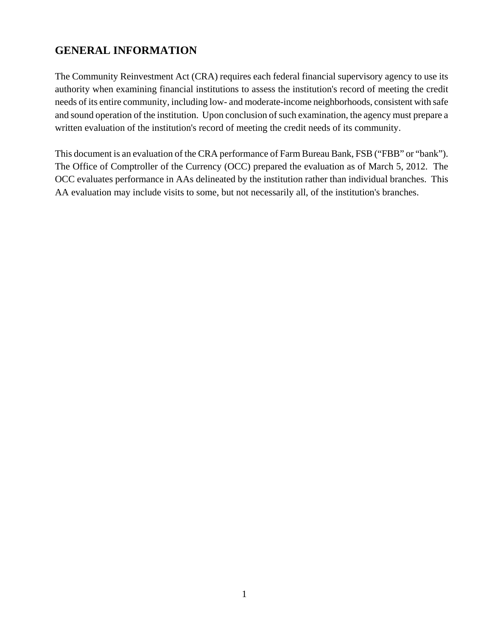## <span id="page-2-0"></span>**GENERAL INFORMATION**

The Community Reinvestment Act (CRA) requires each federal financial supervisory agency to use its authority when examining financial institutions to assess the institution's record of meeting the credit needs of its entire community, including low- and moderate-income neighborhoods, consistent with safe and sound operation of the institution. Upon conclusion of such examination, the agency must prepare a written evaluation of the institution's record of meeting the credit needs of its community.

This document is an evaluation of the CRA performance of Farm Bureau Bank, FSB ("FBB" or "bank"). The Office of Comptroller of the Currency (OCC) prepared the evaluation as of March 5, 2012. The OCC evaluates performance in AAs delineated by the institution rather than individual branches. This AA evaluation may include visits to some, but not necessarily all, of the institution's branches.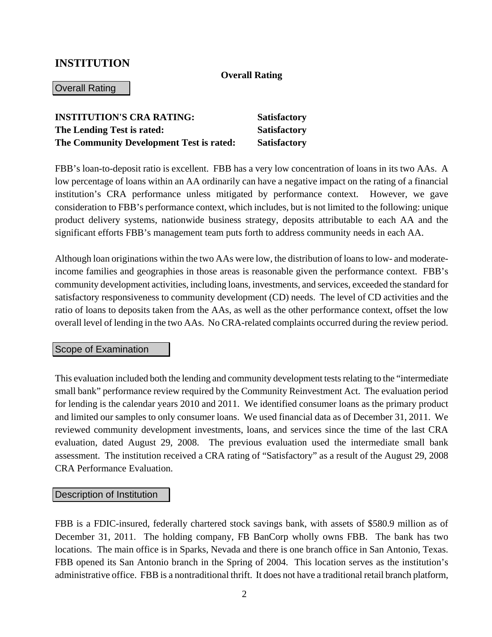### **INSTITUTION**

#### **Overall Rating**

#### Overall Rating

| <b>INSTITUTION'S CRA RATING:</b>         | <b>Satisfactory</b> |
|------------------------------------------|---------------------|
| The Lending Test is rated:               | <b>Satisfactory</b> |
| The Community Development Test is rated: | <b>Satisfactory</b> |

FBB's loan-to-deposit ratio is excellent. FBB has a very low concentration of loans in its two AAs. A low percentage of loans within an AA ordinarily can have a negative impact on the rating of a financial institution's CRA performance unless mitigated by performance context. However, we gave consideration to FBB's performance context, which includes, but is not limited to the following: unique product delivery systems, nationwide business strategy, deposits attributable to each AA and the significant efforts FBB's management team puts forth to address community needs in each AA.

Although loan originations within the two AAs were low, the distribution of loans to low- and moderateincome families and geographies in those areas is reasonable given the performance context. FBB's community development activities, including loans, investments, and services, exceeded the standard for satisfactory responsiveness to community development (CD) needs. The level of CD activities and the ratio of loans to deposits taken from the AAs, as well as the other performance context, offset the low overall level of lending in the two AAs. No CRA-related complaints occurred during the review period.

#### Scope of Examination

This evaluation included both the lending and community development tests relating to the "intermediate small bank" performance review required by the Community Reinvestment Act. The evaluation period for lending is the calendar years 2010 and 2011. We identified consumer loans as the primary product and limited our samples to only consumer loans. We used financial data as of December 31, 2011. We reviewed community development investments, loans, and services since the time of the last CRA evaluation, dated August 29, 2008. The previous evaluation used the intermediate small bank assessment. The institution received a CRA rating of "Satisfactory" as a result of the August 29, 2008 CRA Performance Evaluation.

#### Description of Institution

FBB is a FDIC-insured, federally chartered stock savings bank, with assets of \$580.9 million as of December 31, 2011. The holding company, FB BanCorp wholly owns FBB. The bank has two locations. The main office is in Sparks, Nevada and there is one branch office in San Antonio, Texas. FBB opened its San Antonio branch in the Spring of 2004. This location serves as the institution's administrative office. FBB is a nontraditional thrift. It does not have a traditional retail branch platform,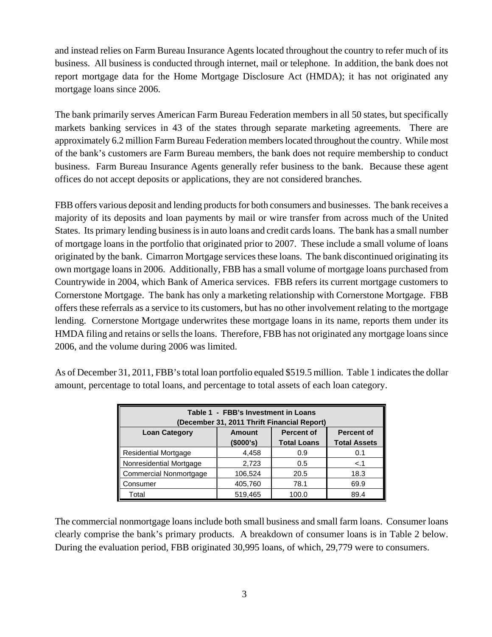and instead relies on Farm Bureau Insurance Agents located throughout the country to refer much of its business. All business is conducted through internet, mail or telephone. In addition, the bank does not report mortgage data for the Home Mortgage Disclosure Act (HMDA); it has not originated any mortgage loans since 2006.

The bank primarily serves American Farm Bureau Federation members in all 50 states, but specifically markets banking services in 43 of the states through separate marketing agreements. There are approximately 6.2 million Farm Bureau Federation members located throughout the country. While most of the bank's customers are Farm Bureau members, the bank does not require membership to conduct business. Farm Bureau Insurance Agents generally refer business to the bank. Because these agent offices do not accept deposits or applications, they are not considered branches.

FBB offers various deposit and lending products for both consumers and businesses. The bank receives a majority of its deposits and loan payments by mail or wire transfer from across much of the United States. Its primary lending business is in auto loans and credit cards loans. The bank has a small number of mortgage loans in the portfolio that originated prior to 2007. These include a small volume of loans originated by the bank. Cimarron Mortgage services these loans. The bank discontinued originating its own mortgage loans in 2006. Additionally, FBB has a small volume of mortgage loans purchased from Countrywide in 2004, which Bank of America services. FBB refers its current mortgage customers to Cornerstone Mortgage. The bank has only a marketing relationship with Cornerstone Mortgage. FBB offers these referrals as a service to its customers, but has no other involvement relating to the mortgage lending. Cornerstone Mortgage underwrites these mortgage loans in its name, reports them under its HMDA filing and retains or sells the loans. Therefore, FBB has not originated any mortgage loans since 2006, and the volume during 2006 was limited.

| Table 1 - FBB's Investment in Loans<br>(December 31, 2011 Thrift Financial Report) |           |                    |                     |  |  |  |  |
|------------------------------------------------------------------------------------|-----------|--------------------|---------------------|--|--|--|--|
| <b>Percent of</b><br><b>Loan Category</b><br><b>Percent of</b><br><b>Amount</b>    |           |                    |                     |  |  |  |  |
|                                                                                    | (\$000's) | <b>Total Loans</b> | <b>Total Assets</b> |  |  |  |  |
| <b>Residential Mortgage</b>                                                        | 4,458     | 0.9                | 0.1                 |  |  |  |  |
| Nonresidential Mortgage                                                            | 2,723     | 0.5                | < 1                 |  |  |  |  |
| <b>Commercial Nonmortgage</b>                                                      | 106,524   | 20.5               | 18.3                |  |  |  |  |
| Consumer                                                                           | 405,760   | 78.1               | 69.9                |  |  |  |  |
| Total                                                                              | 519,465   | 100.0              | 89.4                |  |  |  |  |

As of December 31, 2011, FBB's total loan portfolio equaled \$519.5 million. Table 1 indicates the dollar amount, percentage to total loans, and percentage to total assets of each loan category.

The commercial nonmortgage loans include both small business and small farm loans. Consumer loans clearly comprise the bank's primary products. A breakdown of consumer loans is in Table 2 below. During the evaluation period, FBB originated 30,995 loans, of which, 29,779 were to consumers.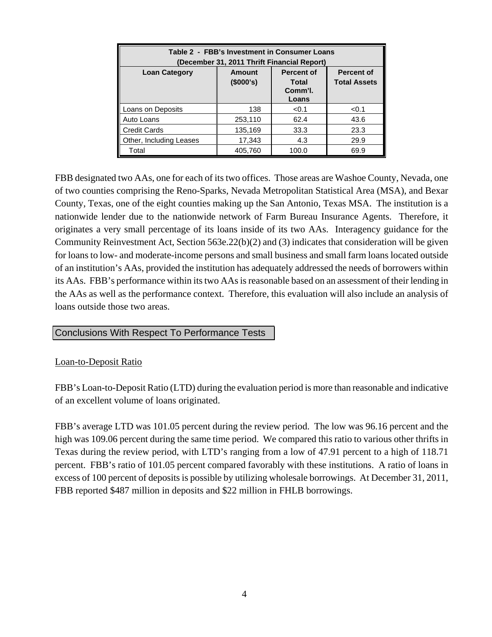| Table 2 - FBB's Investment in Consumer Loans<br>(December 31, 2011 Thrift Financial Report)                                                             |         |       |       |  |  |
|---------------------------------------------------------------------------------------------------------------------------------------------------------|---------|-------|-------|--|--|
| <b>Percent of</b><br><b>Percent of</b><br><b>Loan Category</b><br><b>Amount</b><br>(\$000's)<br><b>Total Assets</b><br><b>Total</b><br>Comm'l.<br>Loans |         |       |       |  |  |
| Loans on Deposits                                                                                                                                       | 138     | < 0.1 | < 0.1 |  |  |
| Auto Loans                                                                                                                                              | 253,110 | 62.4  | 43.6  |  |  |
| <b>Credit Cards</b>                                                                                                                                     | 135,169 | 33.3  | 23.3  |  |  |
| Other, Including Leases                                                                                                                                 | 17,343  | 4.3   | 29.9  |  |  |
| Total                                                                                                                                                   | 405,760 | 100.0 | 69.9  |  |  |

FBB designated two AAs, one for each of its two offices. Those areas are Washoe County, Nevada, one of two counties comprising the Reno-Sparks, Nevada Metropolitan Statistical Area (MSA), and Bexar County, Texas, one of the eight counties making up the San Antonio, Texas MSA. The institution is a nationwide lender due to the nationwide network of Farm Bureau Insurance Agents. Therefore, it originates a very small percentage of its loans inside of its two AAs. Interagency guidance for the Community Reinvestment Act, Section 563e.22(b)(2) and (3) indicates that consideration will be given for loans to low- and moderate-income persons and small business and small farm loans located outside of an institution's AAs, provided the institution has adequately addressed the needs of borrowers within its AAs. FBB's performance within its two AAs is reasonable based on an assessment of their lending in the AAs as well as the performance context. Therefore, this evaluation will also include an analysis of loans outside those two areas.

#### Conclusions With Respect To Performance Tests

#### Loan-to-Deposit Ratio

FBB's Loan-to-Deposit Ratio (LTD) during the evaluation period is more than reasonable and indicative of an excellent volume of loans originated.

FBB's average LTD was 101.05 percent during the review period. The low was 96.16 percent and the high was 109.06 percent during the same time period. We compared this ratio to various other thrifts in Texas during the review period, with LTD's ranging from a low of 47.91 percent to a high of 118.71 percent. FBB's ratio of 101.05 percent compared favorably with these institutions. A ratio of loans in excess of 100 percent of deposits is possible by utilizing wholesale borrowings. At December 31, 2011, FBB reported \$487 million in deposits and \$22 million in FHLB borrowings.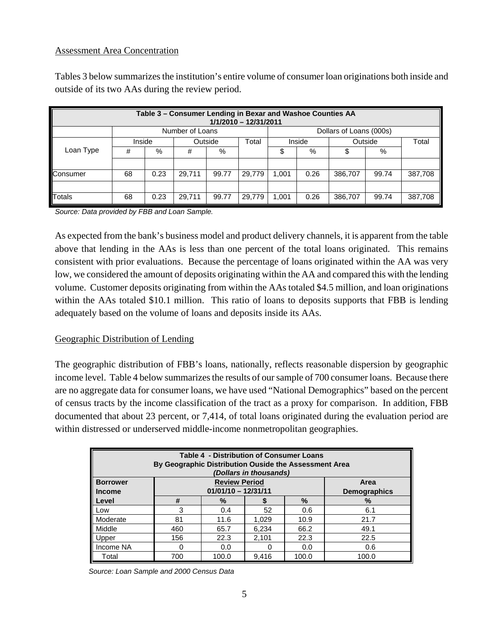#### Assessment Area Concentration

Tables 3 below summarizes the institution's entire volume of consumer loan originations both inside and outside of its two AAs during the review period.

|           | Table 3 - Consumer Lending in Bexar and Washoe Counties AA<br>1/1/2010 - 12/31/2011 |                   |                 |       |        |       |        |                         |       |         |
|-----------|-------------------------------------------------------------------------------------|-------------------|-----------------|-------|--------|-------|--------|-------------------------|-------|---------|
|           |                                                                                     |                   | Number of Loans |       |        |       |        | Dollars of Loans (000s) |       |         |
|           |                                                                                     | Inside<br>Outside |                 |       | Total  |       | Inside | Outside                 |       | Total   |
| Loan Type | #                                                                                   | %                 | #               | %     |        | \$    | %      | Φ                       | %     |         |
|           |                                                                                     |                   |                 |       |        |       |        |                         |       |         |
| Consumer  | 68                                                                                  | 0.23              | 29.711          | 99.77 | 29.779 | 1.001 | 0.26   | 386,707                 | 99.74 | 387,708 |
|           |                                                                                     |                   |                 |       |        |       |        |                         |       |         |
| Totals    | 68                                                                                  | 0.23              | 29.711          | 99.77 | 29.779 | 1.001 | 0.26   | 386,707                 | 99.74 | 387,708 |

*Source: Data provided by FBB and Loan Sample.* 

As expected from the bank's business model and product delivery channels, it is apparent from the table above that lending in the AAs is less than one percent of the total loans originated. This remains consistent with prior evaluations. Because the percentage of loans originated within the AA was very low, we considered the amount of deposits originating within the AA and compared this with the lending volume. Customer deposits originating from within the AAs totaled \$4.5 million, and loan originations within the AAs totaled \$10.1 million. This ratio of loans to deposits supports that FBB is lending adequately based on the volume of loans and deposits inside its AAs.

#### Geographic Distribution of Lending

The geographic distribution of FBB's loans, nationally, reflects reasonable dispersion by geographic income level. Table 4 below summarizes the results of our sample of 700 consumer loans. Because there are no aggregate data for consumer loans, we have used "National Demographics" based on the percent of census tracts by the income classification of the tract as a proxy for comparison. In addition, FBB documented that about 23 percent, or 7,414, of total loans originated during the evaluation period are within distressed or underserved middle-income nonmetropolitan geographies.

| <b>Table 4 - Distribution of Consumer Loans</b><br>By Geographic Distribution Ouside the Assessment Area<br>(Dollars in thousands) |                                                                              |       |       |       |       |  |  |
|------------------------------------------------------------------------------------------------------------------------------------|------------------------------------------------------------------------------|-------|-------|-------|-------|--|--|
| <b>Borrower</b><br><b>Income</b>                                                                                                   | <b>Review Period</b><br>Area<br>$01/01/10 - 12/31/11$<br><b>Demographics</b> |       |       |       |       |  |  |
| Level                                                                                                                              | #                                                                            | $\%$  |       | $\%$  | $\%$  |  |  |
| Low                                                                                                                                | 3                                                                            | 0.4   | 52    | 0.6   | 6.1   |  |  |
| Moderate                                                                                                                           | 81                                                                           | 11.6  | 1,029 | 10.9  | 21.7  |  |  |
| Middle                                                                                                                             | 460                                                                          | 65.7  | 6,234 | 66.2  | 49.1  |  |  |
| Upper                                                                                                                              | 156                                                                          | 22.3  | 2,101 | 22.3  | 22.5  |  |  |
| Income NA                                                                                                                          |                                                                              | 0.0   |       | 0.0   | 0.6   |  |  |
| Total                                                                                                                              | 700                                                                          | 100.0 | 9.416 | 100.0 | 100.0 |  |  |

*Source: Loan Sample and 2000 Census Data*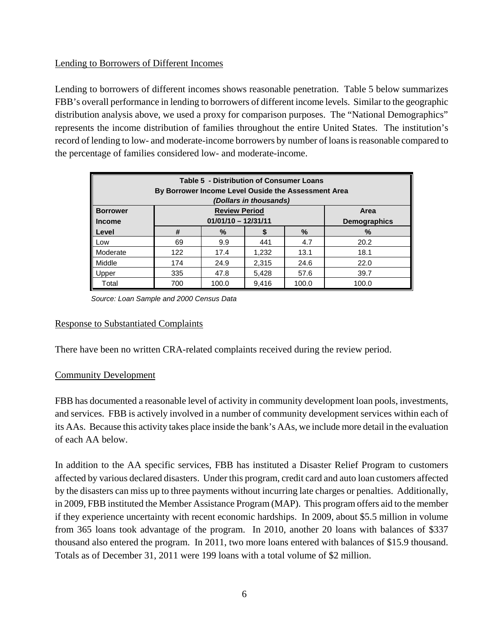#### Lending to Borrowers of Different Incomes

Lending to borrowers of different incomes shows reasonable penetration. Table 5 below summarizes FBB's overall performance in lending to borrowers of different income levels. Similar to the geographic distribution analysis above, we used a proxy for comparison purposes. The "National Demographics" represents the income distribution of families throughout the entire United States. The institution's record of lending to low- and moderate-income borrowers by number of loans is reasonable compared to the percentage of families considered low- and moderate-income.

| <b>Table 5 - Distribution of Consumer Loans</b><br>By Borrower Income Level Ouside the Assessment Area<br>(Dollars in thousands) |     |                       |       |       |                     |  |
|----------------------------------------------------------------------------------------------------------------------------------|-----|-----------------------|-------|-------|---------------------|--|
| <b>Borrower</b>                                                                                                                  |     | <b>Review Period</b>  |       |       | Area                |  |
| <b>Income</b>                                                                                                                    |     | $01/01/10 - 12/31/11$ |       |       | <b>Demographics</b> |  |
| ll Level                                                                                                                         | #   | %                     |       | $\%$  | %                   |  |
| Low                                                                                                                              | 69  | 9.9                   | 441   | 4.7   | 20.2                |  |
| Moderate                                                                                                                         | 122 | 17.4                  | 1,232 | 13.1  | 18.1                |  |
| Middle                                                                                                                           | 174 | 24.9                  | 2,315 | 24.6  | 22.0                |  |
| Upper                                                                                                                            | 335 | 47.8                  | 5,428 | 57.6  | 39.7                |  |
| Total                                                                                                                            | 700 | 100.0                 | 9.416 | 100.0 | 100.0               |  |

 *Source: Loan Sample and 2000 Census Data* 

#### Response to Substantiated Complaints

There have been no written CRA-related complaints received during the review period.

#### Community Development

FBB has documented a reasonable level of activity in community development loan pools, investments, and services. FBB is actively involved in a number of community development services within each of its AAs. Because this activity takes place inside the bank's AAs, we include more detail in the evaluation of each AA below.

 if they experience uncertainty with recent economic hardships. In 2009, about \$5.5 million in volume In addition to the AA specific services, FBB has instituted a Disaster Relief Program to customers affected by various declared disasters. Under this program, credit card and auto loan customers affected by the disasters can miss up to three payments without incurring late charges or penalties. Additionally, in 2009, FBB instituted the Member Assistance Program (MAP). This program offers aid to the member from 365 loans took advantage of the program. In 2010, another 20 loans with balances of \$337 thousand also entered the program. In 2011, two more loans entered with balances of \$15.9 thousand. Totals as of December 31, 2011 were 199 loans with a total volume of \$2 million.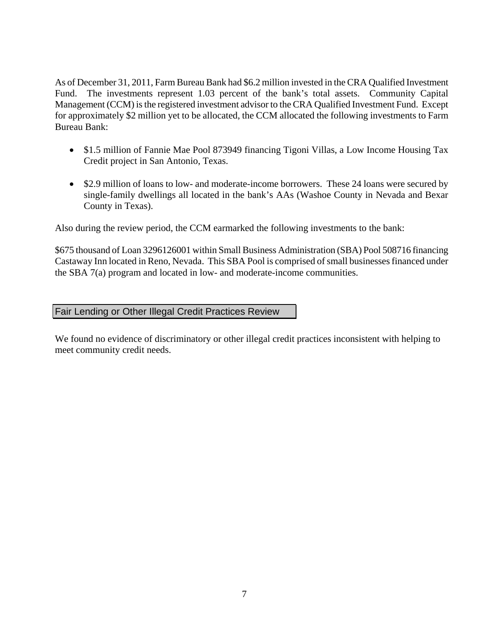<span id="page-8-0"></span>As of December 31, 2011, Farm Bureau Bank had \$6.2 million invested in the CRA Qualified Investment Fund. The investments represent 1.03 percent of the bank's total assets. Community Capital Management (CCM) is the registered investment advisor to the CRA Qualified Investment Fund. Except for approximately \$2 million yet to be allocated, the CCM allocated the following investments to Farm Bureau Bank:

- \$1.5 million of Fannie Mae Pool 873949 financing Tigoni Villas, a Low Income Housing Tax Credit project in San Antonio, Texas.
- \$2.9 million of loans to low- and moderate-income borrowers. These 24 loans were secured by single-family dwellings all located in the bank's AAs (Washoe County in Nevada and Bexar County in Texas).

Also during the review period, the CCM earmarked the following investments to the bank:

\$675 thousand of Loan 3296126001 within Small Business Administration (SBA) Pool 508716 financing Castaway Inn located in Reno, Nevada. This SBA Pool is comprised of small businesses financed under the SBA 7(a) program and located in low- and moderate-income communities.

Fair Lending or Other Illegal Credit Practices Review

We found no evidence of discriminatory or other illegal credit practices inconsistent with helping to meet community credit needs.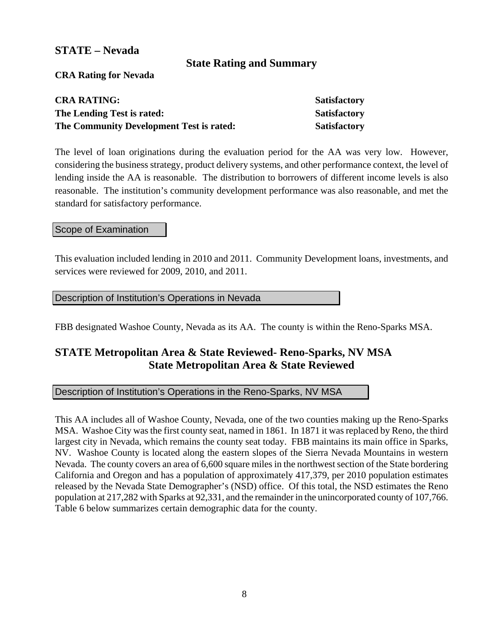### <span id="page-9-0"></span>**STATE – Nevada**

## **State Rating and Summary**

**CRA Rating for Nevada** 

| <b>CRA RATING:</b>                       | <b>Satisfactory</b> |
|------------------------------------------|---------------------|
| The Lending Test is rated:               | <b>Satisfactory</b> |
| The Community Development Test is rated: | Satisfactory        |

The level of loan originations during the evaluation period for the AA was very low. However, considering the business strategy, product delivery systems, and other performance context, the level of lending inside the AA is reasonable. The distribution to borrowers of different income levels is also reasonable. The institution's community development performance was also reasonable, and met the standard for satisfactory performance.

#### Scope of Examination

This evaluation included lending in 2010 and 2011. Community Development loans, investments, and services were reviewed for 2009, 2010, and 2011.

#### Description of Institution's Operations in Nevada

FBB designated Washoe County, Nevada as its AA. The county is within the Reno-Sparks MSA.

## **STATE Metropolitan Area & State Reviewed- Reno-Sparks, NV MSA State Metropolitan Area & State Reviewed**

#### Description of Institution's Operations in the Reno-Sparks, NV MSA

This AA includes all of Washoe County, Nevada, one of the two counties making up the Reno-Sparks MSA. Washoe City was the first county seat, named in 1861. In 1871 it was replaced by Reno, the third largest city in Nevada, which remains the county seat today. FBB maintains its main office in Sparks, NV. Washoe County is located along the eastern slopes of the Sierra Nevada Mountains in western Nevada. The county covers an area of 6,600 square miles in the northwest section of the State bordering California and Oregon and has a population of approximately 417,379, per 2010 population estimates released by the Nevada State Demographer's (NSD) office. Of this total, the NSD estimates the Reno population at 217,282 with Sparks at 92,331, and the remainder in the unincorporated county of 107,766. Table 6 below summarizes certain demographic data for the county.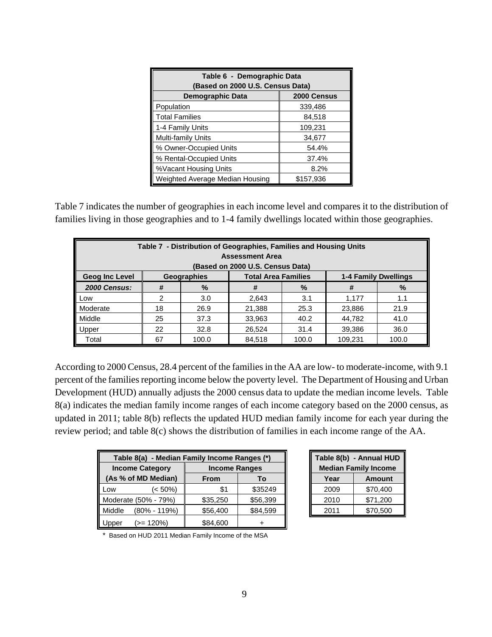| Table 6 - Demographic Data<br>Based on 2000 U.S. Census Data) |             |  |  |  |  |
|---------------------------------------------------------------|-------------|--|--|--|--|
| Demographic Data                                              | 2000 Census |  |  |  |  |
| Population                                                    | 339,486     |  |  |  |  |
| <b>Total Families</b>                                         | 84,518      |  |  |  |  |
| 1-4 Family Units                                              | 109,231     |  |  |  |  |
| Multi-family Units                                            | 34,677      |  |  |  |  |
| % Owner-Occupied Units                                        | 54.4%       |  |  |  |  |
| % Rental-Occupied Units                                       | 37.4%       |  |  |  |  |
| %Vacant Housing Units<br>8.2%                                 |             |  |  |  |  |
| Weighted Average Median Housing                               | \$157,936   |  |  |  |  |

Table 7 indicates the number of geographies in each income level and compares it to the distribution of families living in those geographies and to 1-4 family dwellings located within those geographies.

| Table 7 - Distribution of Geographies, Families and Housing Units<br><b>Assessment Area</b><br>(Based on 2000 U.S. Census Data) |    |             |                            |       |                             |       |  |
|---------------------------------------------------------------------------------------------------------------------------------|----|-------------|----------------------------|-------|-----------------------------|-------|--|
| <b>Geog Inc Level</b>                                                                                                           |    | Geographies | <b>Total Area Families</b> |       | <b>1-4 Family Dwellings</b> |       |  |
| <b>2000 Census:</b>                                                                                                             | #  | $\%$        | #                          | $\%$  | #                           | $\%$  |  |
| Low                                                                                                                             | 2  | 3.0         | 2,643                      | 3.1   | 1,177                       | 1.1   |  |
| Moderate                                                                                                                        | 18 | 26.9        | 21,388                     | 25.3  | 23,886                      | 21.9  |  |
| Middle                                                                                                                          | 25 | 37.3        | 33,963                     | 40.2  | 44,782                      | 41.0  |  |
| Upper                                                                                                                           | 22 | 32.8        | 26,524                     | 31.4  | 39,386                      | 36.0  |  |
| Total                                                                                                                           | 67 | 100.0       | 84,518                     | 100.0 | 109,231                     | 100.0 |  |

According to 2000 Census, 28.4 percent of the families in the AA are low- to moderate-income, with 9.1 percent of the families reporting income below the poverty level. The Department of Housing and Urban Development (HUD) annually adjusts the 2000 census data to update the median income levels. Table 8(a) indicates the median family income ranges of each income category based on the 2000 census, as updated in 2011; table 8(b) reflects the updated HUD median family income for each year during the review period; and table 8(c) shows the distribution of families in each income range of the AA.

| Table 8(a) - Median Family Income Ranges (*) |                        |                      |          |  |  |
|----------------------------------------------|------------------------|----------------------|----------|--|--|
|                                              | <b>Income Category</b> | <b>Income Ranges</b> |          |  |  |
| (As % of MD Median)                          |                        | <b>From</b>          | То       |  |  |
| Low                                          | $(< 50\%)$             | \$1                  | \$35249  |  |  |
| Moderate (50% - 79%)                         |                        | \$35,250             | \$56,399 |  |  |
| Middle                                       | $(80\% - 119\%)$       | \$56,400             | \$84,599 |  |  |
| Upper                                        | $(>= 120\%)$           | \$84,600             |          |  |  |

| Table 8(b) - Annual HUD<br><b>Median Family Income</b> |               |  |  |
|--------------------------------------------------------|---------------|--|--|
| Year                                                   | <b>Amount</b> |  |  |
| 2009                                                   | \$70,400      |  |  |
| 2010                                                   | \$71,200      |  |  |
| 2011                                                   | \$70,500      |  |  |

\* Based on HUD 2011 Median Family Income of the MSA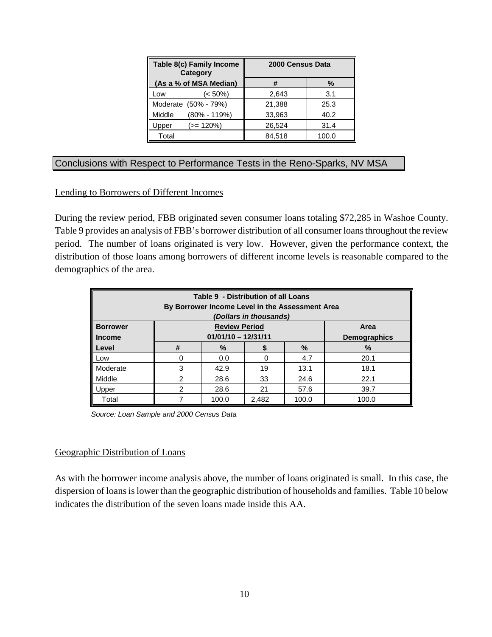| Table 8(c) Family Income<br><b>Category</b> | 2000 Census Data |       |  |
|---------------------------------------------|------------------|-------|--|
| (As a % of MSA Median)                      | #                | %     |  |
| (< 50%)<br>Low                              | 2,643            | 3.1   |  |
| $(50\% - 79\%)$<br>Moderate                 | 21,388           | 25.3  |  |
| $(80\% - 119\%)$<br>Middle                  | 33,963           | 40.2  |  |
| $(>= 120\%)$<br>Upper                       | 26,524           | 31.4  |  |
| Total                                       | 84,518           | 100.0 |  |

#### Conclusions with Respect to Performance Tests in the Reno-Sparks, NV MSA

#### Lending to Borrowers of Different Incomes

During the review period, FBB originated seven consumer loans totaling \$72,285 in Washoe County. Table 9 provides an analysis of FBB's borrower distribution of all consumer loans throughout the review period. The number of loans originated is very low. However, given the performance context, the distribution of those loans among borrowers of different income levels is reasonable compared to the demographics of the area.

| Table 9 - Distribution of all Loans<br>By Borrower Income Level in the Assessment Area<br>(Dollars in thousands) |               |                            |       |       |                     |  |
|------------------------------------------------------------------------------------------------------------------|---------------|----------------------------|-------|-------|---------------------|--|
| <b>Borrower</b>                                                                                                  |               | <b>Review Period</b>       |       |       | Area                |  |
| <b>Income</b>                                                                                                    |               | $01/01/10 - 12/31/11$      |       |       | <b>Demographics</b> |  |
| Level                                                                                                            | #             | %                          |       | %     | %                   |  |
| Low                                                                                                              | ∩             | 0.0                        | 0     | 4.7   | 20.1                |  |
| Moderate                                                                                                         | 3             | 42.9                       | 19    | 13.1  | 18.1                |  |
| Middle                                                                                                           | $\mathcal{P}$ | 28.6                       | 33    | 24.6  | 22.1                |  |
| Upper                                                                                                            | $\mathcal{P}$ | 28.6<br>21<br>57.6<br>39.7 |       |       |                     |  |
| Total                                                                                                            |               | 100.0                      | 2,482 | 100.0 | 100.0               |  |

 *Source: Loan Sample and 2000 Census Data* 

#### Geographic Distribution of Loans

As with the borrower income analysis above, the number of loans originated is small. In this case, the dispersion of loans is lower than the geographic distribution of households and families. Table 10 below indicates the distribution of the seven loans made inside this AA.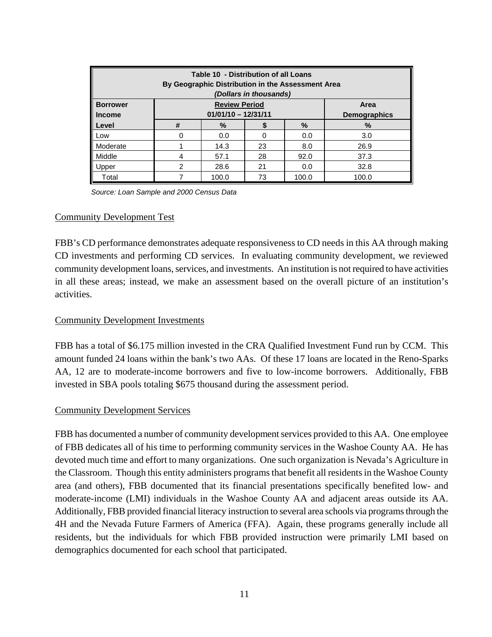| Table 10 - Distribution of all Loans<br>By Geographic Distribution in the Assessment Area<br>(Dollars in thousands) |                |                           |    |       |                     |  |
|---------------------------------------------------------------------------------------------------------------------|----------------|---------------------------|----|-------|---------------------|--|
| <b>Borrower</b>                                                                                                     |                | <b>Review Period</b>      |    |       | Area                |  |
| <b>Income</b>                                                                                                       |                | $01/01/10 - 12/31/11$     |    |       | <b>Demographics</b> |  |
| Level                                                                                                               | #              | %                         |    | %     | %                   |  |
| Low                                                                                                                 | O              | 0.0                       | 0  | 0.0   | 3.0                 |  |
| Moderate                                                                                                            |                | 14.3                      | 23 | 8.0   | 26.9                |  |
| Middle                                                                                                              | 4              | 57.1                      | 28 | 92.0  | 37.3                |  |
| Upper                                                                                                               | $\mathfrak{p}$ | 21<br>32.8<br>28.6<br>0.0 |    |       |                     |  |
| Total                                                                                                               |                | 100.0                     | 73 | 100.0 | 100.0               |  |

 *Source: Loan Sample and 2000 Census Data* 

#### Community Development Test

FBB's CD performance demonstrates adequate responsiveness to CD needs in this AA through making CD investments and performing CD services. In evaluating community development, we reviewed community development loans, services, and investments. An institution is not required to have activities in all these areas; instead, we make an assessment based on the overall picture of an institution's activities.

#### Community Development Investments

FBB has a total of \$6.175 million invested in the CRA Qualified Investment Fund run by CCM. This amount funded 24 loans within the bank's two AAs. Of these 17 loans are located in the Reno-Sparks AA, 12 are to moderate-income borrowers and five to low-income borrowers. Additionally, FBB invested in SBA pools totaling \$675 thousand during the assessment period.

#### Community Development Services

FBB has documented a number of community development services provided to this AA. One employee of FBB dedicates all of his time to performing community services in the Washoe County AA. He has devoted much time and effort to many organizations. One such organization is Nevada's Agriculture in the Classroom. Though this entity administers programs that benefit all residents in the Washoe County area (and others), FBB documented that its financial presentations specifically benefited low- and moderate-income (LMI) individuals in the Washoe County AA and adjacent areas outside its AA. Additionally, FBB provided financial literacy instruction to several area schools via programs through the 4H and the Nevada Future Farmers of America (FFA). Again, these programs generally include all residents, but the individuals for which FBB provided instruction were primarily LMI based on demographics documented for each school that participated.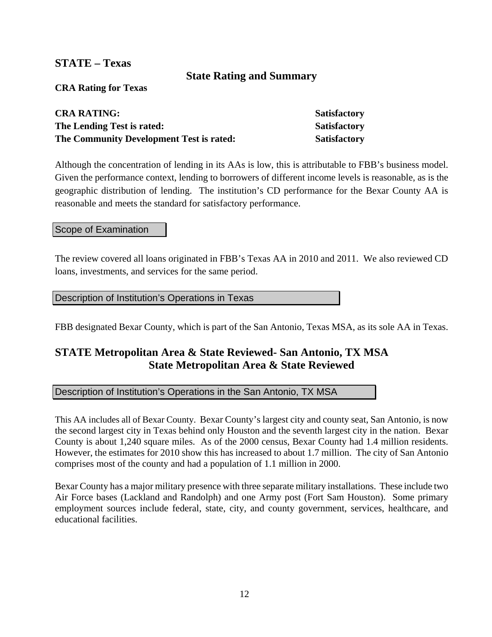### **STATE – Texas**

#### **State Rating and Summary**

**CRA Rating for Texas** 

| <b>CRA RATING:</b>                       | <b>Satisfactory</b> |
|------------------------------------------|---------------------|
| The Lending Test is rated:               | <b>Satisfactory</b> |
| The Community Development Test is rated: | <b>Satisfactory</b> |

Although the concentration of lending in its AAs is low, this is attributable to FBB's business model. Given the performance context, lending to borrowers of different income levels is reasonable, as is the geographic distribution of lending. The institution's CD performance for the Bexar County AA is reasonable and meets the standard for satisfactory performance.

#### Scope of Examination

The review covered all loans originated in FBB's Texas AA in 2010 and 2011. We also reviewed CD loans, investments, and services for the same period.

Description of Institution's Operations in Texas

FBB designated Bexar County, which is part of the San Antonio, Texas MSA, as its sole AA in Texas.

## **STATE Metropolitan Area & State Reviewed- San Antonio, TX MSA State Metropolitan Area & State Reviewed**

#### Description of Institution's Operations in the San Antonio, TX MSA

This AA includes all of Bexar County. Bexar County's largest city and county seat, San Antonio, is now the second largest city in Texas behind only Houston and the seventh largest city in the nation. Bexar County is about 1,240 square miles. As of the 2000 census, Bexar County had 1.4 million residents. However, the estimates for 2010 show this has increased to about 1.7 million. The city of San Antonio comprises most of the county and had a population of 1.1 million in 2000.

Bexar County has a major military presence with three separate military installations. These include two Air Force bases (Lackland and Randolph) and one Army post (Fort Sam Houston). Some primary employment sources include federal, state, city, and county government, services, healthcare, and educational facilities.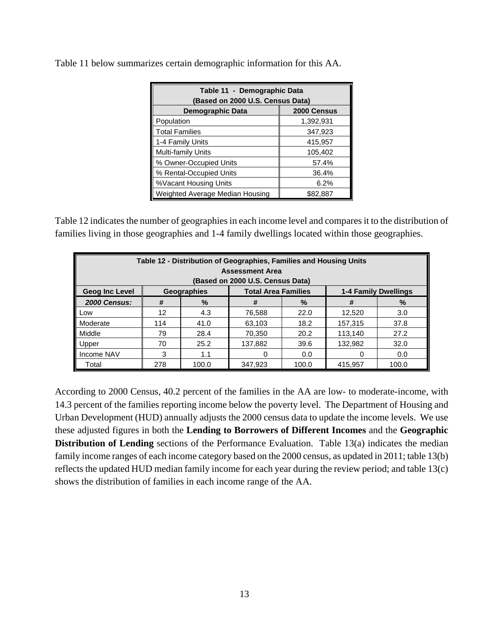| Table 11 - Demographic Data<br>(Based on 2000 U.S. Census Data) |             |  |  |  |
|-----------------------------------------------------------------|-------------|--|--|--|
| Demographic Data                                                | 2000 Census |  |  |  |
| Population                                                      | 1,392,931   |  |  |  |
| <b>Total Families</b>                                           | 347,923     |  |  |  |
| 1-4 Family Units                                                | 415,957     |  |  |  |
| Multi-family Units                                              | 105,402     |  |  |  |
| % Owner-Occupied Units                                          | 57.4%       |  |  |  |
| % Rental-Occupied Units                                         | 36.4%       |  |  |  |
| %Vacant Housing Units                                           | 6.2%        |  |  |  |
| Weighted Average Median Housing                                 | \$82,887    |  |  |  |

Table 11 below summarizes certain demographic information for this AA.

Table 12 indicates the number of geographies in each income level and compares it to the distribution of families living in those geographies and 1-4 family dwellings located within those geographies.

| Table 12 - Distribution of Geographies, Families and Housing Units<br><b>Assessment Area</b><br>(Based on 2000 U.S. Census Data) |     |                                 |                            |       |                             |       |  |
|----------------------------------------------------------------------------------------------------------------------------------|-----|---------------------------------|----------------------------|-------|-----------------------------|-------|--|
| Geog Inc Level                                                                                                                   |     | Geographies                     | <b>Total Area Families</b> |       | <b>1-4 Family Dwellings</b> |       |  |
| <b>2000 Census:</b>                                                                                                              | #   | $\%$<br>#<br>$\frac{9}{6}$<br># |                            |       |                             | $\%$  |  |
| Low                                                                                                                              | 12  | 4.3                             | 76,588                     | 22.0  | 12.520                      | 3.0   |  |
| Moderate                                                                                                                         | 114 | 41.0                            | 63,103                     | 18.2  | 157,315                     | 37.8  |  |
| Middle                                                                                                                           | 79  | 28.4                            | 70,350                     | 20.2  | 113,140                     | 27.2  |  |
| Upper                                                                                                                            | 70  | 25.2                            | 137,882                    | 39.6  | 132,982                     | 32.0  |  |
| Income NAV                                                                                                                       | 3   | 1.1<br>0.0<br>0.0<br>0<br>0     |                            |       |                             |       |  |
| Total                                                                                                                            | 278 | 100.0                           | 347,923                    | 100.0 | 415.957                     | 100.0 |  |

According to 2000 Census, 40.2 percent of the families in the AA are low- to moderate-income, with 14.3 percent of the families reporting income below the poverty level. The Department of Housing and Urban Development (HUD) annually adjusts the 2000 census data to update the income levels. We use these adjusted figures in both the **Lending to Borrowers of Different Incomes** and the **Geographic Distribution of Lending** sections of the Performance Evaluation. Table 13(a) indicates the median family income ranges of each income category based on the 2000 census, as updated in 2011; table 13(b) reflects the updated HUD median family income for each year during the review period; and table 13(c) shows the distribution of families in each income range of the AA.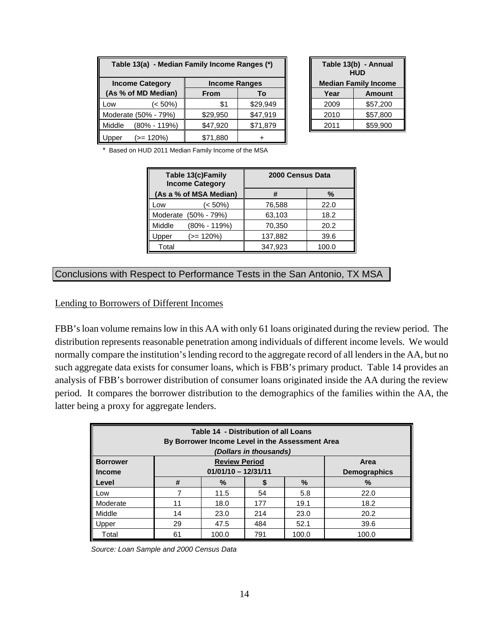| Table 13(a) - Median Family Income Ranges (*) |                                                |             |          |  |  |  |
|-----------------------------------------------|------------------------------------------------|-------------|----------|--|--|--|
|                                               | <b>Income Category</b><br><b>Income Ranges</b> |             |          |  |  |  |
| (As % of MD Median)                           |                                                | <b>From</b> | To       |  |  |  |
| LOW                                           | (< 50%)                                        | \$1         | \$29,949 |  |  |  |
| Moderate (50% - 79%)                          |                                                | \$29,950    | \$47,919 |  |  |  |
| Middle                                        | $(80\% - 119\%)$                               | \$47,920    | \$71,879 |  |  |  |
| pper                                          | $(>= 120\%)$                                   | \$71,880    |          |  |  |  |

| Table 13(b) - Annual<br><b>HUD</b><br><b>Median Family Income</b> |               |  |  |
|-------------------------------------------------------------------|---------------|--|--|
| Year                                                              | <b>Amount</b> |  |  |
| 2009                                                              | \$57,200      |  |  |
| \$57,800<br>2010                                                  |               |  |  |
| 2011                                                              | \$59,900      |  |  |

\* Based on HUD 2011 Median Family Income of the MSA

| Table 13(c)Family<br><b>Income Category</b> | 2000 Census Data |       |  |
|---------------------------------------------|------------------|-------|--|
| (As a % of MSA Median)                      | #                | %     |  |
| (< 50%)<br>LOW                              | 76,588           | 22.0  |  |
| Moderate (50% - 79%)                        | 63,103           | 18.2  |  |
| Middle<br>$(80\% - 119\%)$                  | 70,350           | 20.2  |  |
| $(>= 120\%)$<br>Jpper                       | 137,882          | 39.6  |  |
| Total                                       | 347,923          | 100.0 |  |

#### Conclusions with Respect to Performance Tests in the San Antonio, TX MSA

Lending to Borrowers of Different Incomes

FBB's loan volume remains low in this AA with only 61 loans originated during the review period. The distribution represents reasonable penetration among individuals of different income levels. We would normally compare the institution's lending record to the aggregate record of all lenders in the AA, but no such aggregate data exists for consumer loans, which is FBB's primary product. Table 14 provides an analysis of FBB's borrower distribution of consumer loans originated inside the AA during the review period. It compares the borrower distribution to the demographics of the families within the AA, the latter being a proxy for aggregate lenders.

| Table 14 - Distribution of all Loans<br>By Borrower Income Level in the Assessment Area<br>(Dollars in thousands) |                                                       |                             |     |       |                     |  |  |
|-------------------------------------------------------------------------------------------------------------------|-------------------------------------------------------|-----------------------------|-----|-------|---------------------|--|--|
| <b>Borrower</b>                                                                                                   | <b>Review Period</b><br>Area<br>$01/01/10 - 12/31/11$ |                             |     |       |                     |  |  |
| <b>Income</b>                                                                                                     |                                                       |                             |     |       | <b>Demographics</b> |  |  |
| Level                                                                                                             | #                                                     | %                           |     | %     | %                   |  |  |
| Low                                                                                                               |                                                       | 11.5                        | 54  | 5.8   | 22.0                |  |  |
| Moderate                                                                                                          | 11                                                    | 18.0                        | 177 | 19.1  | 18.2                |  |  |
| Middle                                                                                                            | 14                                                    | 23.0                        | 214 | 23.0  | 20.2                |  |  |
| Jpper                                                                                                             | 29                                                    | 47.5<br>484<br>52.1<br>39.6 |     |       |                     |  |  |
| Total                                                                                                             | 61                                                    | 100.0                       | 791 | 100.0 | 100.0               |  |  |

 *Source: Loan Sample and 2000 Census Data*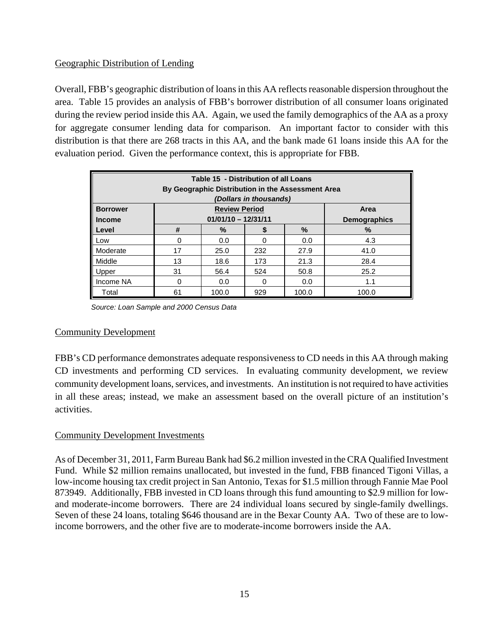#### Geographic Distribution of Lending

Overall, FBB's geographic distribution of loans in this AA reflects reasonable dispersion throughout the area. Table 15 provides an analysis of FBB's borrower distribution of all consumer loans originated during the review period inside this AA. Again, we used the family demographics of the AA as a proxy for aggregate consumer lending data for comparison. An important factor to consider with this distribution is that there are 268 tracts in this AA, and the bank made 61 loans inside this AA for the evaluation period. Given the performance context, this is appropriate for FBB.

| Table 15 - Distribution of all Loans<br>By Geographic Distribution in the Assessment Area<br>(Dollars in thousands) |    |                                               |     |       |                             |  |  |
|---------------------------------------------------------------------------------------------------------------------|----|-----------------------------------------------|-----|-------|-----------------------------|--|--|
| <b>Borrower</b><br><b>Income</b>                                                                                    |    | <b>Review Period</b><br>$01/01/10 - 12/31/11$ |     |       | Area<br><b>Demographics</b> |  |  |
| Level                                                                                                               | #  | $\%$                                          | S   | $\%$  | $\%$                        |  |  |
| Low                                                                                                                 | 0  | 0.0                                           |     | 0.0   | 4.3                         |  |  |
| Moderate                                                                                                            | 17 | 25.0                                          | 232 | 27.9  | 41.0                        |  |  |
| Middle                                                                                                              | 13 | 18.6                                          | 173 | 21.3  | 28.4                        |  |  |
| Upper                                                                                                               | 31 | 56.4                                          | 524 | 50.8  | 25.2                        |  |  |
| Income NA                                                                                                           | 0  | 1.1<br>0.0<br>0.0<br>0                        |     |       |                             |  |  |
| Total                                                                                                               | 61 | 100.0                                         | 929 | 100.0 | 100.0                       |  |  |

 *Source: Loan Sample and 2000 Census Data* 

#### Community Development

FBB's CD performance demonstrates adequate responsiveness to CD needs in this AA through making CD investments and performing CD services. In evaluating community development, we review community development loans, services, and investments. An institution is not required to have activities in all these areas; instead, we make an assessment based on the overall picture of an institution's activities.

#### Community Development Investments

As of December 31, 2011, Farm Bureau Bank had \$6.2 million invested in the CRA Qualified Investment Fund. While \$2 million remains unallocated, but invested in the fund, FBB financed Tigoni Villas, a low-income housing tax credit project in San Antonio, Texas for \$1.5 million through Fannie Mae Pool 873949. Additionally, FBB invested in CD loans through this fund amounting to \$2.9 million for lowand moderate-income borrowers. There are 24 individual loans secured by single-family dwellings. Seven of these 24 loans, totaling \$646 thousand are in the Bexar County AA. Two of these are to lowincome borrowers, and the other five are to moderate-income borrowers inside the AA.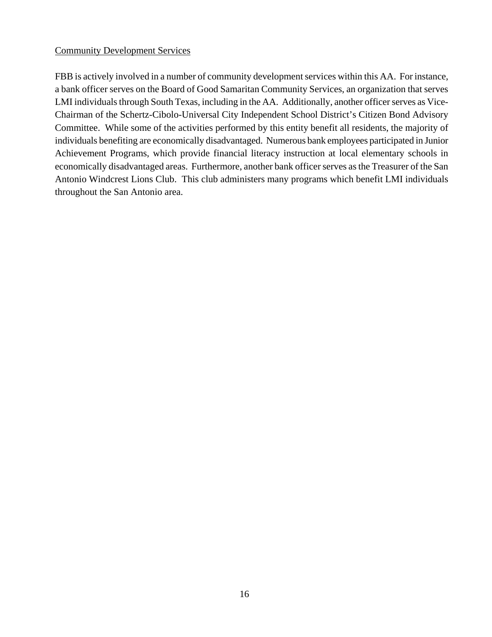#### Community Development Services

FBB is actively involved in a number of community development services within this AA. For instance, a bank officer serves on the Board of Good Samaritan Community Services, an organization that serves LMI individuals through South Texas, including in the AA. Additionally, another officer serves as Vice-Chairman of the Schertz-Cibolo-Universal City Independent School District's Citizen Bond Advisory Committee. While some of the activities performed by this entity benefit all residents, the majority of individuals benefiting are economically disadvantaged. Numerous bank employees participated in Junior Achievement Programs, which provide financial literacy instruction at local elementary schools in economically disadvantaged areas. Furthermore, another bank officer serves as the Treasurer of the San Antonio Windcrest Lions Club. This club administers many programs which benefit LMI individuals throughout the San Antonio area.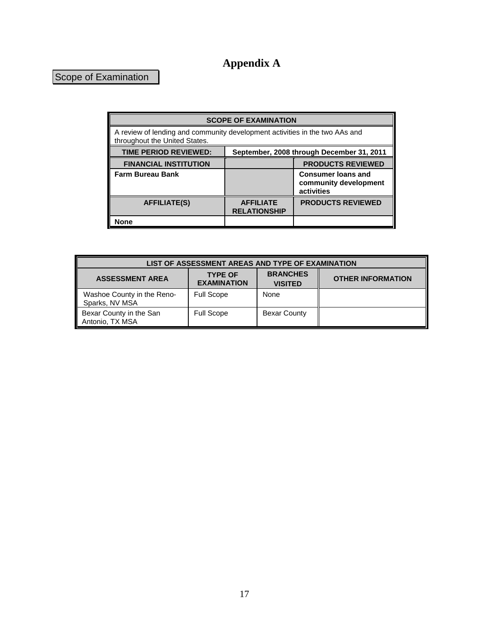## **Appendix A**

## Scope of Examination

| <b>SCOPE OF EXAMINATION</b>                                                                                  |                                           |                                                                  |  |  |  |
|--------------------------------------------------------------------------------------------------------------|-------------------------------------------|------------------------------------------------------------------|--|--|--|
| A review of lending and community development activities in the two AAs and<br>throughout the United States. |                                           |                                                                  |  |  |  |
| <b>TIME PERIOD REVIEWED:</b>                                                                                 | September, 2008 through December 31, 2011 |                                                                  |  |  |  |
| <b>FINANCIAL INSTITUTION</b>                                                                                 | <b>PRODUCTS REVIEWED</b>                  |                                                                  |  |  |  |
| <b>Farm Bureau Bank</b>                                                                                      |                                           | <b>Consumer loans and</b><br>community development<br>activities |  |  |  |
| <b>AFFILIATE(S)</b>                                                                                          | <b>AFFILIATE</b><br><b>RELATIONSHIP</b>   | <b>PRODUCTS REVIEWED</b>                                         |  |  |  |
| None                                                                                                         |                                           |                                                                  |  |  |  |

| LIST OF ASSESSMENT AREAS AND TYPE OF EXAMINATION |                                      |                                   |                          |  |  |
|--------------------------------------------------|--------------------------------------|-----------------------------------|--------------------------|--|--|
| <b>ASSESSMENT AREA</b>                           | <b>TYPE OF</b><br><b>EXAMINATION</b> | <b>BRANCHES</b><br><b>VISITED</b> | <b>OTHER INFORMATION</b> |  |  |
| Washoe County in the Reno-<br>Sparks, NV MSA     | <b>Full Scope</b>                    | None                              |                          |  |  |
| Bexar County in the San<br>Antonio, TX MSA       | <b>Full Scope</b>                    | <b>Bexar County</b>               |                          |  |  |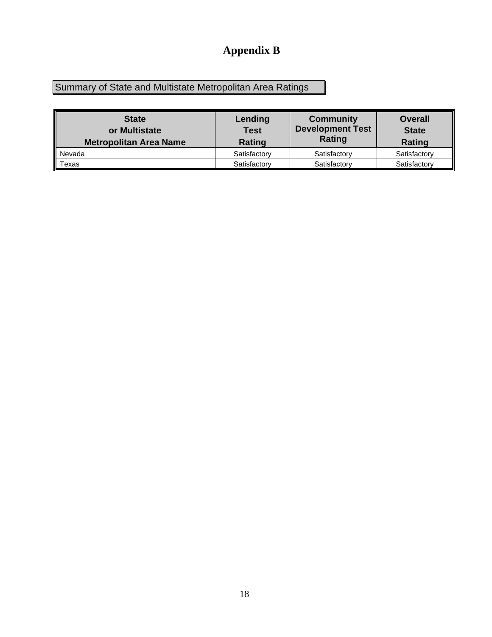## **Appendix B**

Summary of State and Multistate Metropolitan Area Ratings

| <b>State</b><br>or Multistate<br><b>Metropolitan Area Name</b> | Lending<br><b>Test</b><br>Rating | <b>Community</b><br><b>Development Test</b><br>Rating | <b>Overall</b><br><b>State</b><br>Rating |
|----------------------------------------------------------------|----------------------------------|-------------------------------------------------------|------------------------------------------|
| Nevada                                                         | Satisfactory                     | Satisfactory                                          | Satisfactory                             |
| Texas                                                          | Satisfactory                     | Satisfactory                                          | Satisfactory                             |